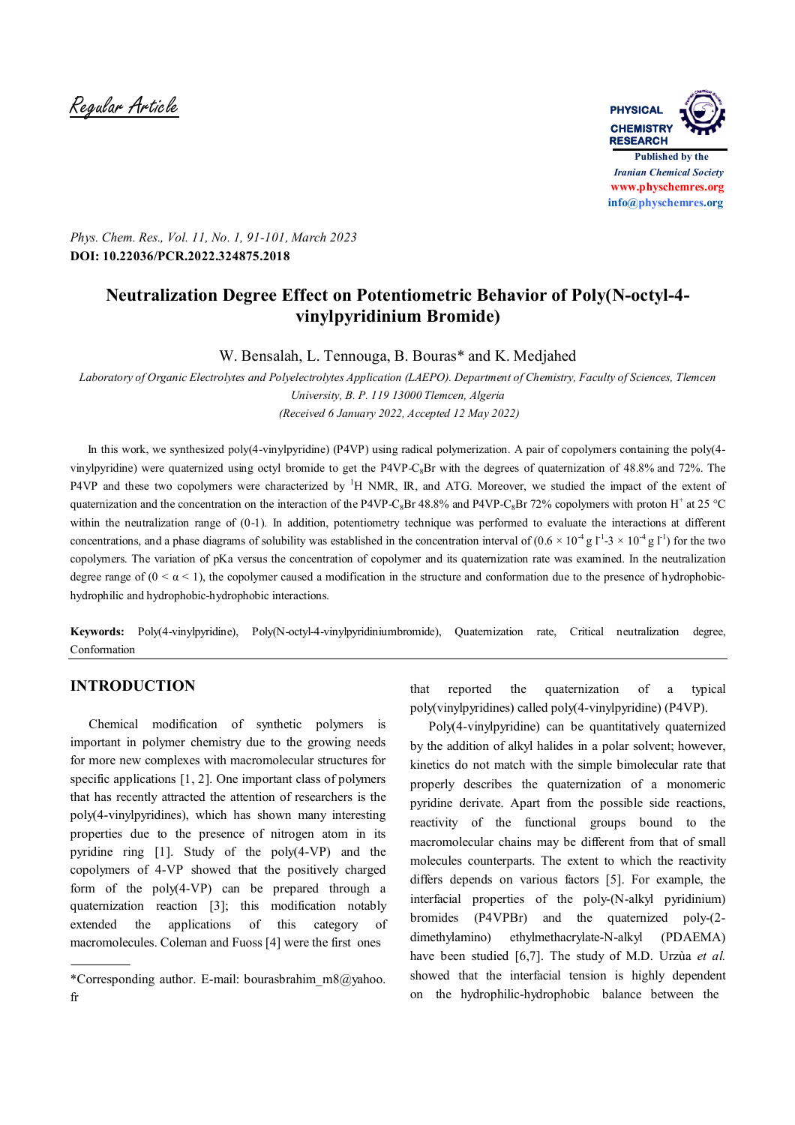Regular Article **PHYSICAL**



*Phys. Chem. Res., Vol. 11, No. 1, 91-101, March 2023* **DOI: 10.22036/PCR.2022.324875.2018**

# **Neutralization Degree Effect on Potentiometric Behavior of Poly(N-octyl-4 vinylpyridinium Bromide)**

W. Bensalah, L. Tennouga, B. Bouras\* and K. Medjahed

*Laboratory of Organic Electrolytes and Polyelectrolytes Application (LAEPO). Department of Chemistry, Faculty of Sciences, Tlemcen University, B. P. 119 13000 Tlemcen, Algeria (Received 6 January 2022, Accepted 12 May 2022)*

 In this work, we synthesized poly(4-vinylpyridine) (P4VP) using radical polymerization. A pair of copolymers containing the poly(4 vinylpyridine) were quaternized using octyl bromide to get the P4VP-C<sub>8</sub>Br with the degrees of quaternization of 48.8% and 72%. The P4VP and these two copolymers were characterized by <sup>1</sup>H NMR, IR, and ATG. Moreover, we studied the impact of the extent of quaternization and the concentration on the interaction of the P4VP-C<sub>8</sub>Br 48.8% and P4VP-C<sub>8</sub>Br 72% copolymers with proton H<sup>+</sup> at 25 °C within the neutralization range of (0-1). In addition, potentiometry technique was performed to evaluate the interactions at different concentrations, and a phase diagrams of solubility was established in the concentration interval of  $(0.6 \times 10^{-4} \text{ g I}^{-1} \cdot 3 \times 10^{-4} \text{ g I}^{-1})$  for the two copolymers. The variation of pKa versus the concentration of copolymer and its quaternization rate was examined. In the neutralization degree range of  $(0 < \alpha < 1)$ , the copolymer caused a modification in the structure and conformation due to the presence of hydrophobichydrophilic and hydrophobic-hydrophobic interactions.

**Keywords:** Poly(4-vinylpyridine), Poly(N-octyl-4-vinylpyridiniumbromide), Quaternization rate, Critical neutralization degree, Conformation

# **INTRODUCTION**

 Chemical modification of synthetic polymers is important in polymer chemistry due to the growing needs for more new complexes with macromolecular structures for specific applications [1, 2]. One important class of polymers that has recently attracted the attention of researchers is the poly(4-vinylpyridines), which has shown many interesting properties due to the presence of nitrogen atom in its pyridine ring [1]. Study of the poly(4-VP) and the copolymers of 4-VP showed that the positively charged form of the poly(4-VP) can be prepared through a quaternization reaction [3]; this modification notably extended the applications of this category of macromolecules. Coleman and Fuoss [4] were the first ones

that reported the quaternization of a typical poly(vinylpyridines) called poly(4-vinylpyridine) (P4VP).

 Poly(4-vinylpyridine) can be quantitatively quaternized by the addition of alkyl halides in a polar solvent; however, kinetics do not match with the simple bimolecular rate that properly describes the quaternization of a monomeric pyridine derivate. Apart from the possible side reactions, reactivity of the functional groups bound to the macromolecular chains may be different from that of small molecules counterparts. The extent to which the reactivity differs depends on various factors [5]. For example, the interfacial properties of the poly-(N-alkyl pyridinium) bromides (P4VPBr) and the quaternized poly-(2 dimethylamino) ethylmethacrylate-N-alkyl (PDAEMA) have been studied [6,7]. The study of M.D. Urzùa *et al.* showed that the interfacial tension is highly dependent on the hydrophilic-hydrophobic balance between the

<sup>\*</sup>Corresponding author. E-mail: bourasbrahim  $m8@yahoo$ . fr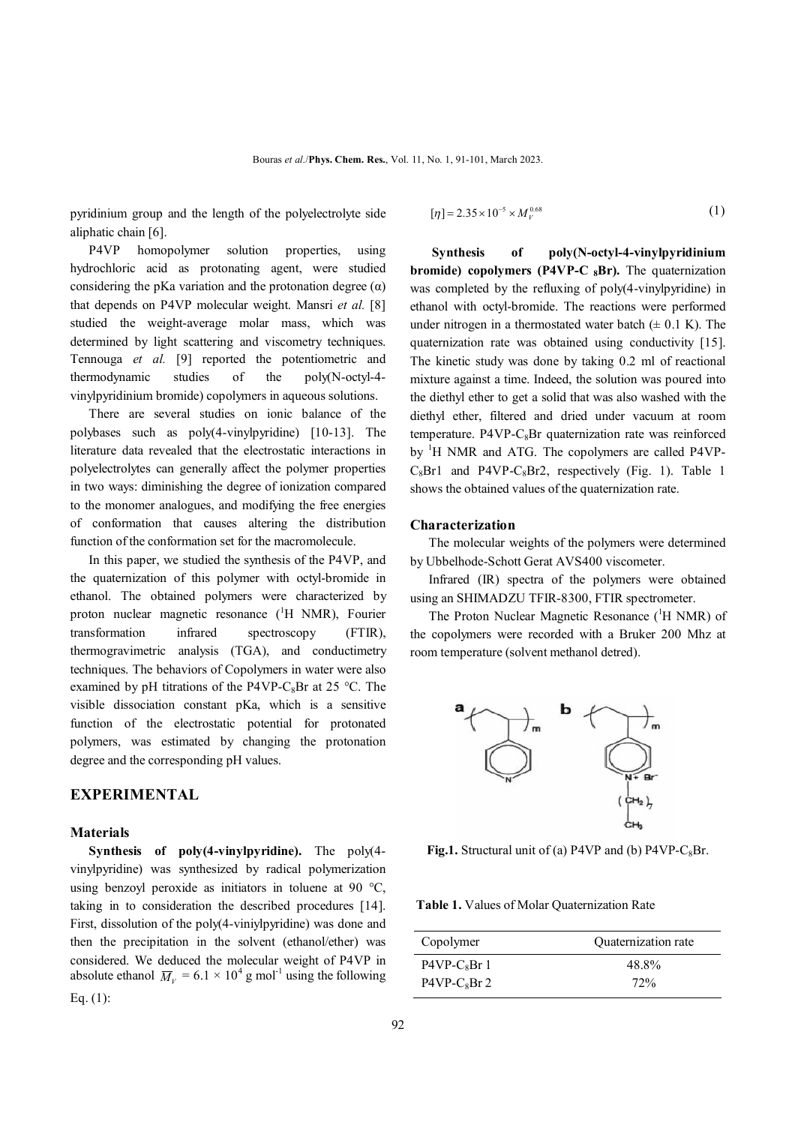pyridinium group and the length of the polyelectrolyte side aliphatic chain [6].

 P4VP homopolymer solution properties, using hydrochloric acid as protonating agent, were studied considering the pKa variation and the protonation degree  $(\alpha)$ that depends on P4VP molecular weight. Mansri *et al.* [8] studied the weight-average molar mass, which was determined by light scattering and viscometry techniques. Tennouga *et al.* [9] reported the potentiometric and thermodynamic studies of the poly(N-octyl-4 vinylpyridinium bromide) copolymers in aqueous solutions.

 There are several studies on ionic balance of the polybases such as poly(4-vinylpyridine) [10-13]. The literature data revealed that the electrostatic interactions in polyelectrolytes can generally affect the polymer properties in two ways: diminishing the degree of ionization compared to the monomer analogues, and modifying the free energies of conformation that causes altering the distribution function of the conformation set for the macromolecule.

 In this paper, we studied the synthesis of the P4VP, and the quaternization of this polymer with octyl-bromide in ethanol. The obtained polymers were characterized by proton nuclear magnetic resonance  $({}^{1}H$  NMR), Fourier transformation infrared spectroscopy (FTIR), thermogravimetric analysis (TGA), and conductimetry techniques. The behaviors of Copolymers in water were also examined by pH titrations of the P4VP-C<sub>8</sub>Br at 25 °C. The visible dissociation constant pKa, which is a sensitive function of the electrostatic potential for protonated polymers, was estimated by changing the protonation degree and the corresponding pH values.

# **EXPERIMENTAL**

#### **Materials**

 **Synthesis of poly(4-vinylpyridine).** The poly(4 vinylpyridine) was synthesized by radical polymerization using benzoyl peroxide as initiators in toluene at 90 °C, taking in to consideration the described procedures [14]. First, dissolution of the poly(4-viniylpyridine) was done and then the precipitation in the solvent (ethanol/ether) was considered. We deduced the molecular weight of P4VP in absolute ethanol  $\overline{M}_V = 6.1 \times 10^4$  g mol<sup>-1</sup> using the following Eq.  $(1)$ :

$$
[\eta] = 2.35 \times 10^{-5} \times M_V^{0.68}
$$
 (1)

 **Synthesis of poly(N-octyl-4-vinylpyridinium bromide)** copolymers (P4VP-C <sub>8</sub>Br). The quaternization was completed by the refluxing of poly(4-vinylpyridine) in ethanol with octyl-bromide. The reactions were performed under nitrogen in a thermostated water batch  $(\pm 0.1 \text{ K})$ . The quaternization rate was obtained using conductivity [15]. The kinetic study was done by taking 0.2 ml of reactional mixture against a time. Indeed, the solution was poured into the diethyl ether to get a solid that was also washed with the diethyl ether, filtered and dried under vacuum at room temperature. P4VP- $C_8$ Br quaternization rate was reinforced by <sup>1</sup>H NMR and ATG. The copolymers are called P4VP- $C_8Br1$  and P4VP- $C_8Br2$ , respectively (Fig. 1). Table 1 shows the obtained values of the quaternization rate.

### **Characterization**

 The molecular weights of the polymers were determined by Ubbelhode-Schott Gerat AVS400 viscometer.

 Infrared (IR) spectra of the polymers were obtained using an SHIMADZU TFIR-8300, FTIR spectrometer.

The Proton Nuclear Magnetic Resonance  $(^1H$  NMR) of the copolymers were recorded with a Bruker 200 Mhz at room temperature (solvent methanol detred).



**Fig.1.** Structural unit of (a) P4VP and (b) P4VP- $C_8Br$ .

 **Table 1.** Values of Molar Quaternization Rate

| Copolymer     | Quaternization rate |
|---------------|---------------------|
| $P4VP-C_8Br1$ | 48.8%               |
| $P4VP-C_8Br2$ | 72%                 |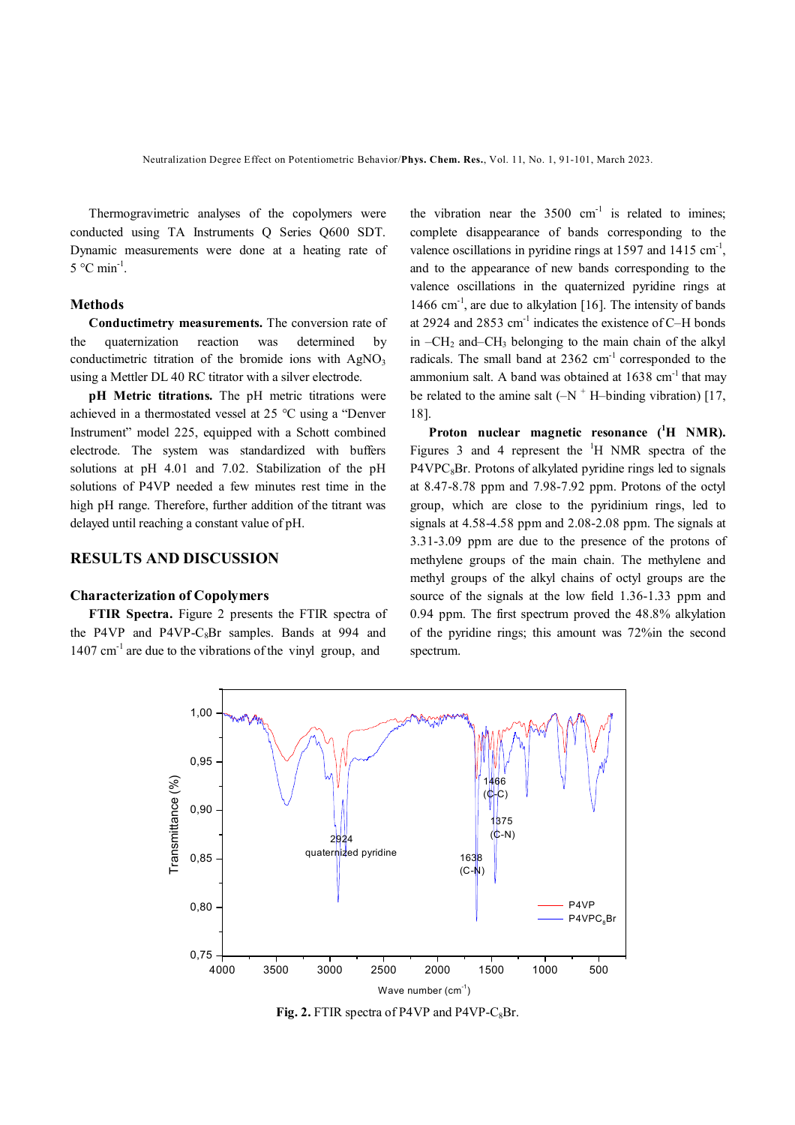Thermogravimetric analyses of the copolymers were conducted using TA Instruments Q Series Q600 SDT. Dynamic measurements were done at a heating rate of  $5^{\circ}$ C min<sup>-1</sup>.

#### **Methods**

 **Conductimetry measurements.** The conversion rate of the quaternization reaction was determined by conductimetric titration of the bromide ions with  $AgNO<sub>3</sub>$ using a Mettler DL 40 RC titrator with a silver electrode.

**pH** Metric titrations. The pH metric titrations were achieved in a thermostated vessel at 25 °C using a "Denver Instrument" model 225, equipped with a Schott combined electrode. The system was standardized with buffers solutions at pH 4.01 and 7.02. Stabilization of the pH solutions of P4VP needed a few minutes rest time in the high pH range. Therefore, further addition of the titrant was delayed until reaching a constant value of pH.

#### **RESULTS AND DISCUSSION**

#### **Characterization of Copolymers**

 **FTIR Spectra.** Figure 2 presents the FTIR spectra of the P4VP and P4VP-C<sub>8</sub>Br samples. Bands at 994 and 1407 cm-1 are due to the vibrations of the vinyl group, and

the vibration near the  $3500 \text{ cm}^{-1}$  is related to imines; complete disappearance of bands corresponding to the valence oscillations in pyridine rings at 1597 and 1415  $\text{cm}^{-1}$ , and to the appearance of new bands corresponding to the valence oscillations in the quaternized pyridine rings at 1466 cm<sup>-1</sup>, are due to alkylation [16]. The intensity of bands at 2924 and 2853 cm<sup>-1</sup> indicates the existence of C-H bonds in  $-CH_2$  and–CH<sub>3</sub> belonging to the main chain of the alkyl radicals. The small band at  $2362 \text{ cm}^{-1}$  corresponded to the ammonium salt. A band was obtained at  $1638 \text{ cm}^{-1}$  that may be related to the amine salt  $(-N + H)$ -binding vibration) [17, 18].

**Proton nuclear magnetic resonance ( <sup>1</sup>H NMR).** Figures 3 and 4 represent the  $\mathrm{H}$  NMR spectra of the  $P4VPC<sub>8</sub>Br$ . Protons of alkylated pyridine rings led to signals at 8.47-8.78 ppm and 7.98-7.92 ppm. Protons of the octyl group, which are close to the pyridinium rings, led to signals at 4.58-4.58 ppm and 2.08-2.08 ppm. The signals at 3.31-3.09 ppm are due to the presence of the protons of methylene groups of the main chain. The methylene and methyl groups of the alkyl chains of octyl groups are the source of the signals at the low field 1.36-1.33 ppm and 0.94 ppm. The first spectrum proved the 48.8% alkylation of the pyridine rings; this amount was 72%in the second spectrum.



**Fig. 2.** FTIR spectra of P4VP and P4VP- $C_8Br$ .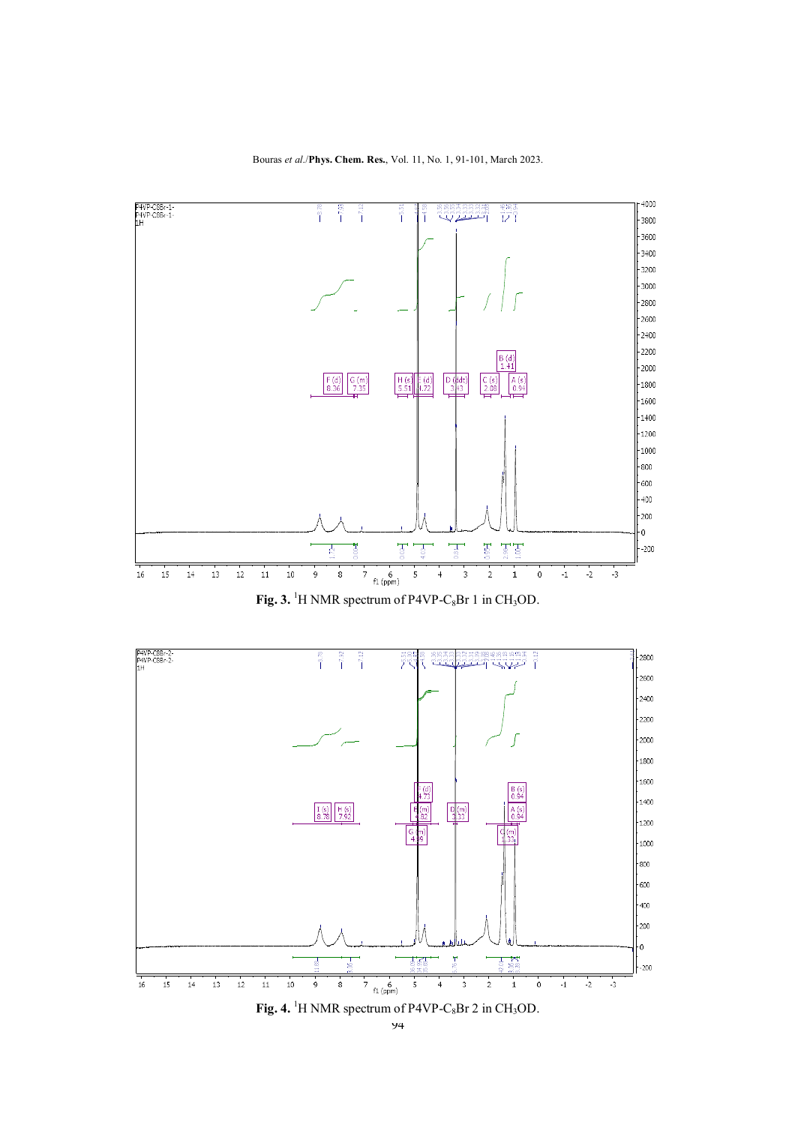

Bouras *et al*./**Phys. Chem. Res.**, Vol. 11, No. 1, 91-101, March 2023.





**Fig. 4.** <sup>1</sup>H NMR spectrum of P4VP-C<sub>8</sub>Br 2 in CH<sub>3</sub>OD.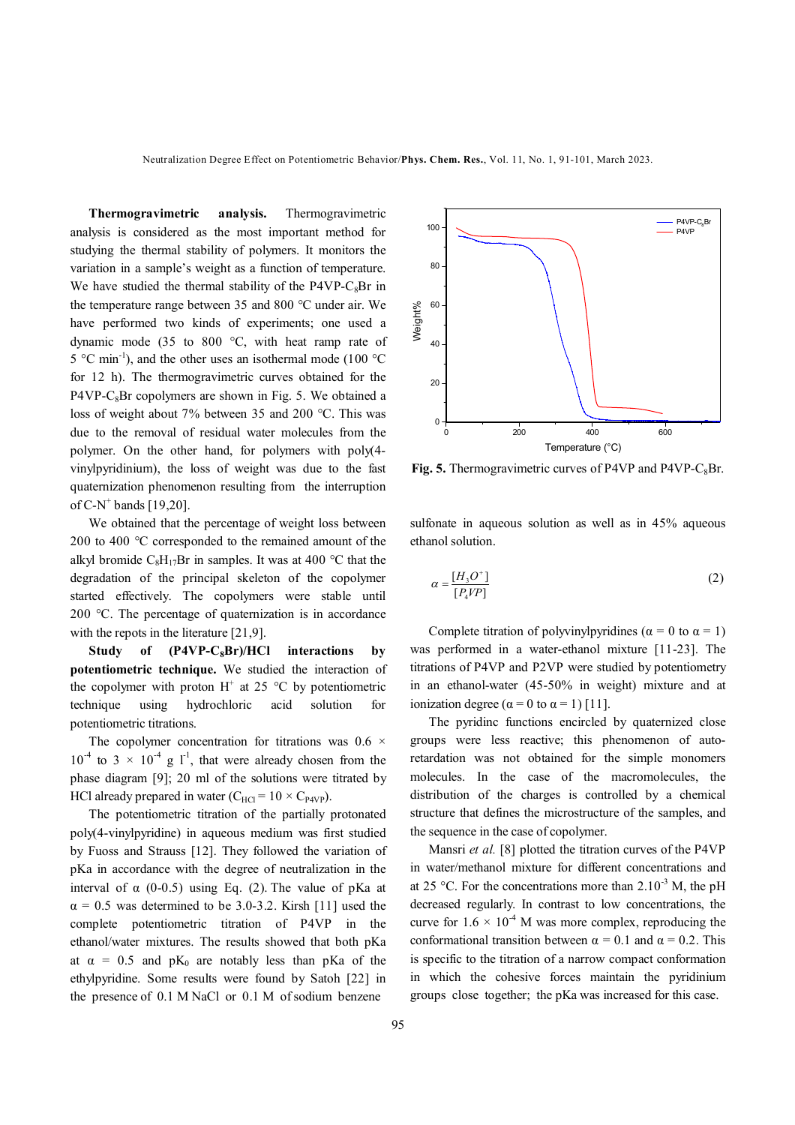**Thermogravimetric analysis.** Thermogravimetric analysis is considered as the most important method for studying the thermal stability of polymers. It monitors the variation in a sample's weight as a function of temperature. We have studied the thermal stability of the P4VP-C<sub>8</sub>Br in the temperature range between 35 and 800 °C under air. We have performed two kinds of experiments; one used a dynamic mode (35 to 800 °C, with heat ramp rate of  $5^{\circ}$ C min<sup>-1</sup>), and the other uses an isothermal mode (100  $^{\circ}$ C for 12 h). The thermogravimetric curves obtained for the  $P4VP-C_8Br$  copolymers are shown in Fig. 5. We obtained a loss of weight about 7% between 35 and 200 °C. This was due to the removal of residual water molecules from the polymer. On the other hand, for polymers with poly(4 vinylpyridinium), the loss of weight was due to the fast quaternization phenomenon resulting from the interruption of C-N<sup>+</sup> bands  $[19,20]$ .

 We obtained that the percentage of weight loss between 200 to 400 °C corresponded to the remained amount of the alkyl bromide  $C_8H_{17}Br$  in samples. It was at 400 °C that the degradation of the principal skeleton of the copolymer started effectively. The copolymers were stable until 200 °C. The percentage of quaternization is in accordance with the repots in the literature [21,9].

 **Study of (P4VP-C8Br)/HCl interactions by potentiometric technique.** We studied the interaction of the copolymer with proton  $H^+$  at 25 °C by potentiometric technique using hydrochloric acid solution for potentiometric titrations.

The copolymer concentration for titrations was  $0.6 \times$  $10^{-4}$  to 3  $\times$  10<sup>-4</sup> g  $\Gamma^1$ , that were already chosen from the phase diagram [9]; 20 ml of the solutions were titrated by HCl already prepared in water ( $C_{\text{HC}} = 10 \times C_{\text{PAVP}}$ ).

 The potentiometric titration of the partially protonated poly(4-vinylpyridine) in aqueous medium was first studied by Fuoss and Strauss [12]. They followed the variation of pKa in accordance with the degree of neutralization in the interval of  $\alpha$  (0-0.5) using Eq. (2). The value of pKa at  $\alpha$  = 0.5 was determined to be 3.0-3.2. Kirsh [11] used the complete potentiometric titration of P4VP in the ethanol/water mixtures. The results showed that both pKa at  $\alpha = 0.5$  and pK<sub>0</sub> are notably less than pKa of the ethylpyridine. Some results were found by Satoh [22] in the presence of 0.1 M NaCl or 0.1 M of sodium benzene



**Fig. 5.** Thermogravimetric curves of P4VP and P4VP- $C_8Br$ .

sulfonate in aqueous solution as well as in 45% aqueous ethanol solution.

$$
\alpha = \frac{[H_3 O^+]}{[P_4 V P]} \tag{2}
$$

Complete titration of polyvinylpyridines ( $\alpha = 0$  to  $\alpha = 1$ ) was performed in a water-ethanol mixture [11-23]. The titrations of P4VP and P2VP were studied by potentiometry in an ethanol-water (45-50% in weight) mixture and at ionization degree ( $\alpha = 0$  to  $\alpha = 1$ ) [11].

 The pyridinc functions encircled by quaternized close groups were less reactive; this phenomenon of autoretardation was not obtained for the simple monomers molecules. In the case of the macromolecules, the distribution of the charges is controlled by a chemical structure that defines the microstructure of the samples, and the sequence in the case of copolymer.

 Mansri *et al.* [8] plotted the titration curves of the P4VP in water/methanol mixture for different concentrations and at 25 °C. For the concentrations more than  $2.10^{-3}$  M, the pH decreased regularly. In contrast to low concentrations, the curve for  $1.6 \times 10^{-4}$  M was more complex, reproducing the conformational transition between  $\alpha = 0.1$  and  $\alpha = 0.2$ . This is specific to the titration of a narrow compact conformation in which the cohesive forces maintain the pyridinium groups close together; the pKa was increased for this case.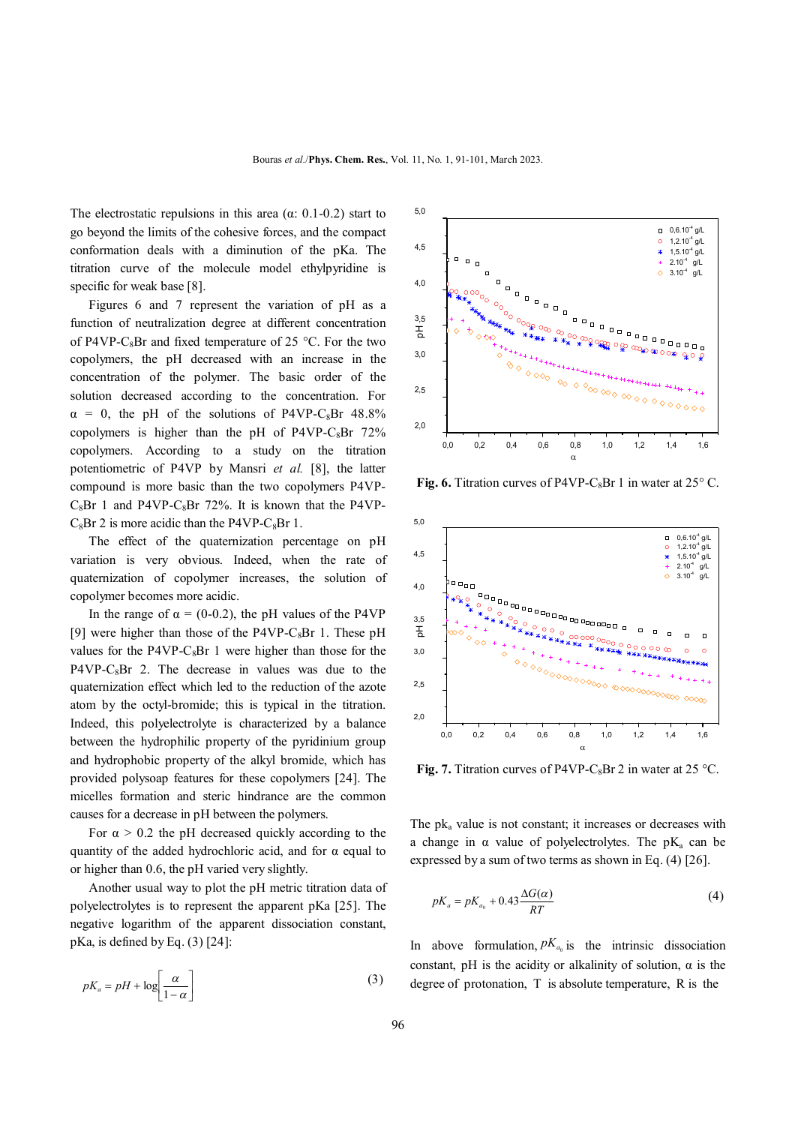The electrostatic repulsions in this area  $(\alpha: 0.1-0.2)$  start to go beyond the limits of the cohesive forces, and the compact conformation deals with a diminution of the pKa. The titration curve of the molecule model ethylpyridine is specific for weak base [8].

 Figures 6 and 7 represent the variation of pH as a function of neutralization degree at different concentration of P4VP-C<sub>8</sub>Br and fixed temperature of 25 °C. For the two copolymers, the pH decreased with an increase in the concentration of the polymer. The basic order of the solution decreased according to the concentration. For  $\alpha = 0$ , the pH of the solutions of P4VP-C<sub>8</sub>Br 48.8% copolymers is higher than the pH of P4VP-C<sub>8</sub>Br  $72\%$ copolymers. According to a study on the titration potentiometric of P4VP by Mansri *et al.* [8], the latter compound is more basic than the two copolymers P4VP- $C_8Br$  1 and P4VP- $C_8Br$  72%. It is known that the P4VP- $C_8Br$  2 is more acidic than the P4VP-C<sub>8</sub>Br 1.

 The effect of the quaternization percentage on pH variation is very obvious. Indeed, when the rate of quaternization of copolymer increases, the solution of copolymer becomes more acidic.

In the range of  $\alpha = (0-0.2)$ , the pH values of the P4VP [9] were higher than those of the P4VP-C<sub>8</sub>Br 1. These pH values for the P4VP-C<sub>8</sub>Br 1 were higher than those for the  $P4VP-C_8Br$  2. The decrease in values was due to the quaternization effect which led to the reduction of the azote atom by the octyl-bromide; this is typical in the titration. Indeed, this polyelectrolyte is characterized by a balance between the hydrophilic property of the pyridinium group and hydrophobic property of the alkyl bromide, which has provided polysoap features for these copolymers [24]. The micelles formation and steric hindrance are the common causes for a decrease in pH between the polymers.

For  $\alpha > 0.2$  the pH decreased quickly according to the quantity of the added hydrochloric acid, and for  $\alpha$  equal to or higher than 0.6, the pH varied very slightly.

 Another usual way to plot the pH metric titration data of polyelectrolytes is to represent the apparent pKa [25]. The negative logarithm of the apparent dissociation constant, pKa, is defined by Eq. (3) [24]:

$$
pK_a = pH + \log\left[\frac{\alpha}{1-\alpha}\right] \tag{3}
$$



**Fig. 6.** Titration curves of P4VP-C<sub>8</sub>Br 1 in water at  $25^{\circ}$  C.



**Fig. 7.** Titration curves of P4VP-C<sub>8</sub>Br 2 in water at 25 °C.

The  $pk_a$  value is not constant; it increases or decreases with a change in  $\alpha$  value of polyelectrolytes. The pK<sub>a</sub> can be expressed by a sum of two terms as shown in Eq. (4) [26].

$$
pK_a = pK_{a_0} + 0.43 \frac{\Delta G(\alpha)}{RT}
$$
\n<sup>(4)</sup>

In above formulation,  $pK_{a_0}$  is the intrinsic dissociation constant, pH is the acidity or alkalinity of solution,  $\alpha$  is the degree of protonation, T is absolute temperature, R is the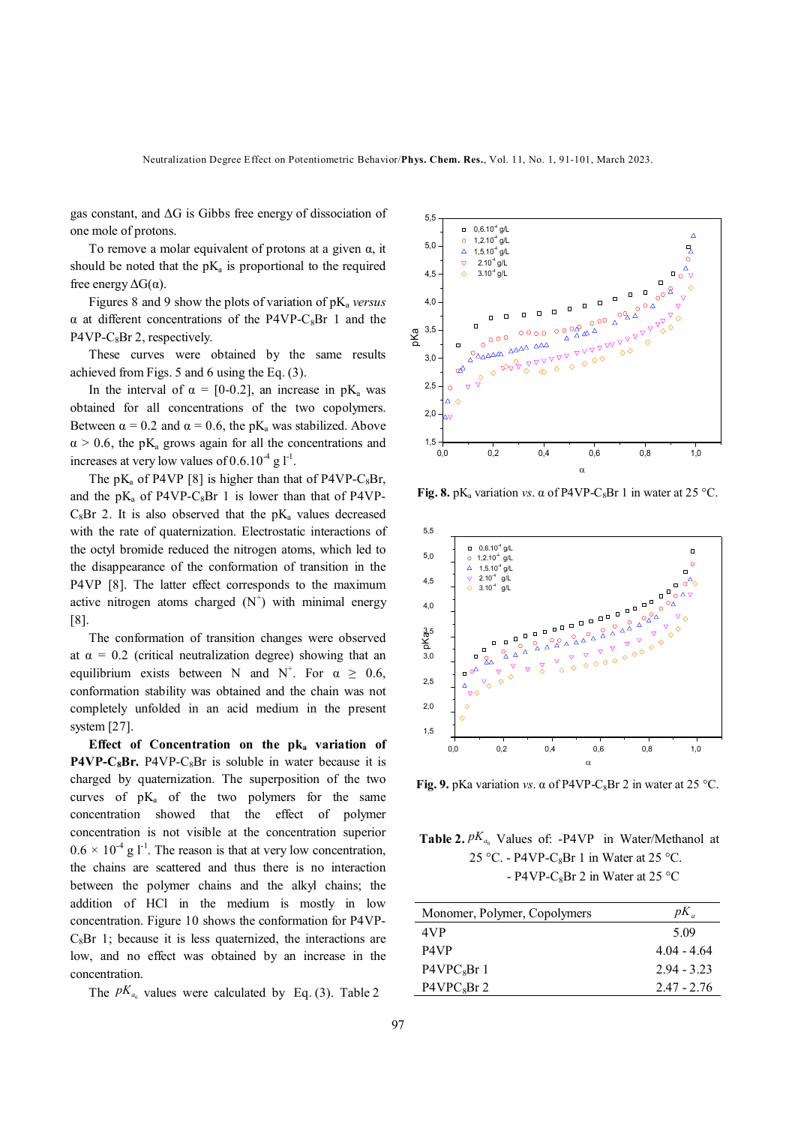gas constant, and ΔG is Gibbs free energy of dissociation of one mole of protons.

To remove a molar equivalent of protons at a given  $\alpha$ , it should be noted that the  $pK_a$  is proportional to the required free energy  $\Delta G(\alpha)$ .

Figures 8 and 9 show the plots of variation of pK<sub>a</sub> versus  $α$  at different concentrations of the P4VP-C<sub>8</sub>Br 1 and the  $P4VP-C_8Br$  2, respectively.

 These curves were obtained by the same results achieved from Figs. 5 and 6 using the Eq. (3).

In the interval of  $\alpha = [0-0.2]$ , an increase in pK<sub>a</sub> was obtained for all concentrations of the two copolymers. Between  $\alpha = 0.2$  and  $\alpha = 0.6$ , the pK<sub>a</sub> was stabilized. Above  $\alpha$  > 0.6, the pK<sub>a</sub> grows again for all the concentrations and increases at very low values of  $0.6.10^{-4}$  g  $l^{-1}$ .

The  $pK_a$  of P4VP [8] is higher than that of P4VP-C<sub>8</sub>Br, and the  $pK_a$  of P4VP-C<sub>8</sub>Br 1 is lower than that of P4VP- $C_8Br$  2. It is also observed that the  $pK_a$  values decreased with the rate of quaternization. Electrostatic interactions of the octyl bromide reduced the nitrogen atoms, which led to the disappearance of the conformation of transition in the P4VP [8]. The latter effect corresponds to the maximum active nitrogen atoms charged  $(N^+)$  with minimal energy [8].

 The conformation of transition changes were observed at  $\alpha = 0.2$  (critical neutralization degree) showing that an equilibrium exists between N and N<sup>+</sup>. For  $\alpha \ge 0.6$ , conformation stability was obtained and the chain was not completely unfolded in an acid medium in the present system [27].

 **Effect of Concentration on the pka variation of P4VP-C<sub>8</sub>Br.** P4VP-C<sub>8</sub>Br is soluble in water because it is charged by quaternization. The superposition of the two curves of  $pK_a$  of the two polymers for the same concentration showed that the effect of polymer concentration is not visible at the concentration superior  $0.6 \times 10^{-4}$  g l<sup>-1</sup>. The reason is that at very low concentration, the chains are scattered and thus there is no interaction between the polymer chains and the alkyl chains; the addition of HCl in the medium is mostly in low concentration. Figure 10 shows the conformation for P4VP- $C_8Br$  1; because it is less quaternized, the interactions are low, and no effect was obtained by an increase in the concentration.

The  $pK_{a_0}$  values were calculated by Eq. (3). Table 2



**Fig. 8.** pK<sub>a</sub> variation *vs*.  $\alpha$  of P4VP-C<sub>8</sub>Br 1 in water at 25 °C.



**Fig. 9.** pKa variation *vs*.  $\alpha$  of P4VP-C<sub>8</sub>Br 2 in water at 25 °C.

**Table 2.**  $pK_{a_0}$  Values of: -P4VP in Water/Methanol at 25 °C. - P4VP-C<sub>8</sub>Br 1 in Water at 25 °C. - P4VP-C<sub>8</sub>Br 2 in Water at 25 °C

| Monomer, Polymer, Copolymers | $pK_a$        |
|------------------------------|---------------|
| 4VP                          | 5.09          |
| P4VP                         | $4.04 - 4.64$ |
| P4VPC <sub>s</sub> Br1       | $2.94 - 3.23$ |
| $P4VPC_8Br$ 2                | $2.47 - 2.76$ |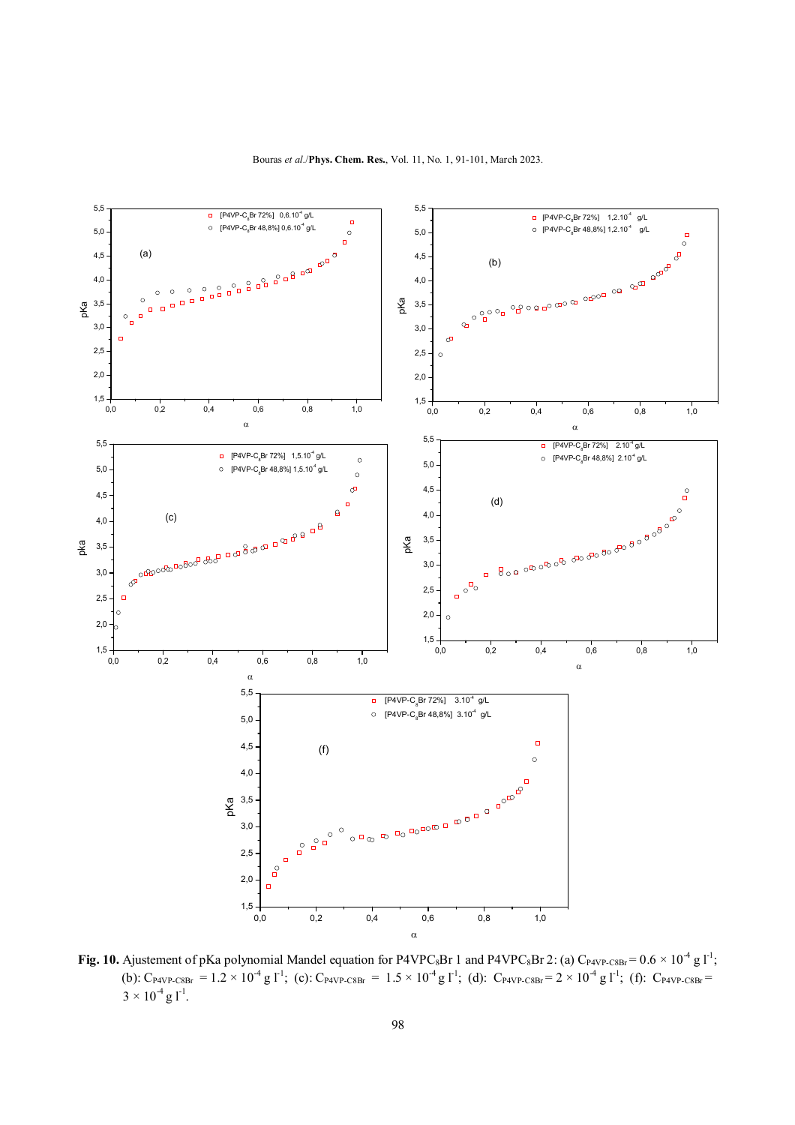

**Fig. 10.** Ajustement of pKa polynomial Mandel equation for P4VPC<sub>8</sub>Br 1 and P4VPC<sub>8</sub>Br 2: (a) C<sub>P4VP-C8Br</sub> =  $0.6 \times 10^4$  g l<sup>-1</sup>; (b):  $C_{PAVP\text{-}C8Br} = 1.2 \times 10^{-4} \text{ g l}^{-1}$ ; (c):  $C_{PAVP\text{-}C8Br} = 1.5 \times 10^{-4} \text{ g l}^{-1}$ ; (d):  $C_{PAVP\text{-}C8Br} = 2 \times 10^{-4} \text{ g l}^{-1}$ ; (f):  $C_{PAVP\text{-}C8Br}$  $3 \times 10^{-4}$  g l<sup>-1</sup>.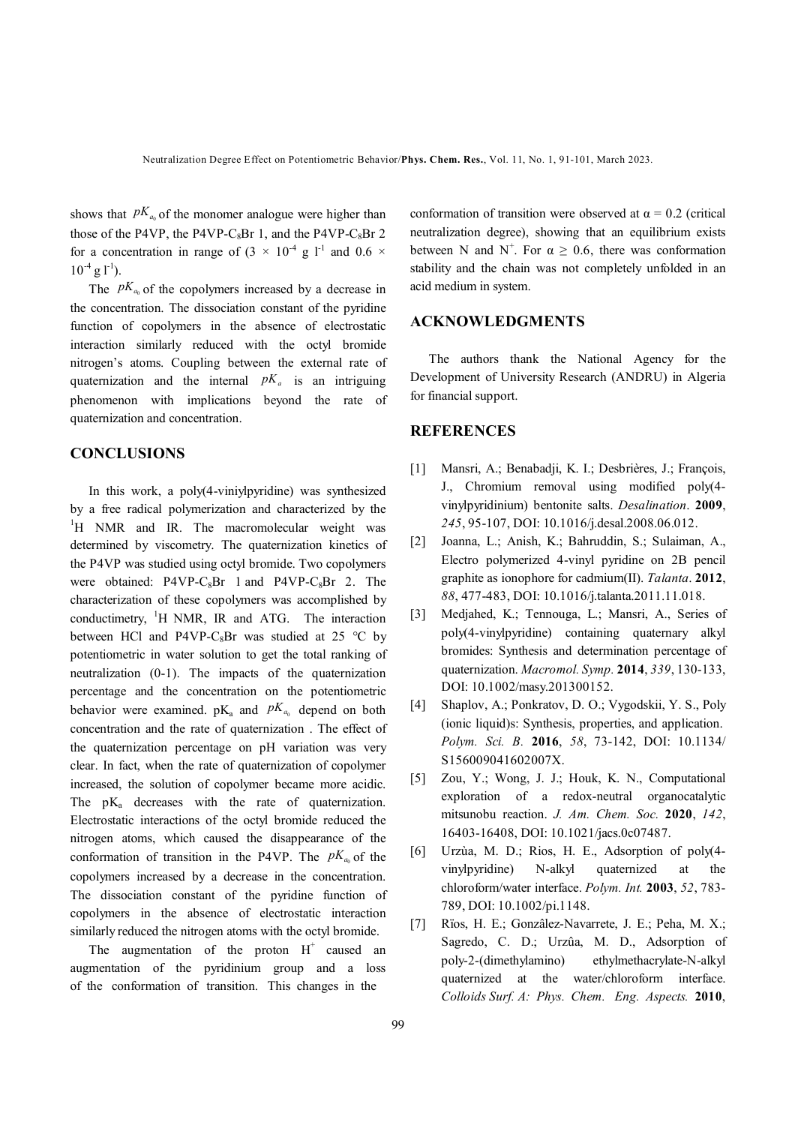shows that  $pK_{a_0}$  of the monomer analogue were higher than those of the P4VP, the P4VP-C<sub>8</sub>Br 1, and the P4VP-C<sub>8</sub>Br 2 for a concentration in range of  $(3 \times 10^{-4} \text{ g } l^{-1}$  and  $0.6 \times 10^{-4} \text{ g } l^{-1}$  $10^{-4}$  g l<sup>-1</sup>).

The  $pK_{a_0}$  of the copolymers increased by a decrease in the concentration. The dissociation constant of the pyridine function of copolymers in the absence of electrostatic interaction similarly reduced with the octyl bromide nitrogen's atoms. Coupling between the external rate of quaternization and the internal *pKa* is an intriguing phenomenon with implications beyond the rate of quaternization and concentration.

## **CONCLUSIONS**

 In this work, a poly(4-viniylpyridine) was synthesized by a free radical polymerization and characterized by the <sup>1</sup>H NMR and IR. The macromolecular weight was determined by viscometry. The quaternization kinetics of the P4VP was studied using octyl bromide. Two copolymers were obtained:  $P4VP-C_8Br$  1 and  $P4VP-C_8Br$  2. The characterization of these copolymers was accomplished by conductimetry, <sup>1</sup>H NMR, IR and ATG. The interaction between HCl and P4VP-C<sub>8</sub>Br was studied at 25 °C by potentiometric in water solution to get the total ranking of neutralization (0-1). The impacts of the quaternization percentage and the concentration on the potentiometric behavior were examined.  $pK_a$  and  $pK_{a_0}$  depend on both concentration and the rate of quaternization . The effect of the quaternization percentage on pH variation was very clear. In fact, when the rate of quaternization of copolymer increased, the solution of copolymer became more acidic. The  $pK_a$  decreases with the rate of quaternization. Electrostatic interactions of the octyl bromide reduced the nitrogen atoms, which caused the disappearance of the conformation of transition in the P4VP. The  $pK_{a_0}$  of the copolymers increased by a decrease in the concentration. The dissociation constant of the pyridine function of copolymers in the absence of electrostatic interaction similarly reduced the nitrogen atoms with the octyl bromide.

The augmentation of the proton  $H^+$  caused an augmentation of the pyridinium group and a loss of the conformation of transition. This changes in the

conformation of transition were observed at  $\alpha = 0.2$  (critical neutralization degree), showing that an equilibrium exists between N and N<sup>+</sup>. For  $\alpha \ge 0.6$ , there was conformation stability and the chain was not completely unfolded in an acid medium in system.

## **ACKNOWLEDGMENTS**

 The authors thank the National Agency for the Development of University Research (ANDRU) in Algeria for financial support.

# **REFERENCES**

- [1] Mansri, A.; Benabadji, K. I.; Desbrières, J.; François, J., Chromium removal using modified poly(4 vinylpyridinium) bentonite salts. *Desalination*. **2009**, *245*, 95-107, DOI: 10.1016/j.desal.2008.06.012.
- [2] Joanna, L.; Anish, K.; Bahruddin, S.; Sulaiman, A., Electro polymerized 4-vinyl pyridine on 2B pencil graphite as ionophore for cadmium(II). *Talanta*. **2012**, *88*, 477-483, DOI: 10.1016/j.talanta.2011.11.018.
- [3] Medjahed, K.; Tennouga, L.; Mansri, A., Series of poly(4-vinylpyridine) containing quaternary alkyl bromides: Synthesis and determination percentage of quaternization. *Macromol. Symp.* **2014**, *339*, 130-133, DOI: 10.1002/masy.201300152.
- [4] Shaplov, A.; Ponkratov, D. O.; Vygodskii, Y. S., Poly (ionic liquid)s: Synthesis, properties, and application. *Polym. Sci. B.* **2016**, *58*, 73-142, DOI: 10.1134/ S156009041602007X.
- [5] Zou, Y.; Wong, J. J.; Houk, K. N., Computational exploration of a redox-neutral organocatalytic mitsunobu reaction. *J. Am. Chem. Soc.* **2020**, *142*, 16403-16408, DOI: 10.1021/jacs.0c07487.
- [6] Urzùa, M. D.; Rios, H. E., Adsorption of poly(4 vinylpyridine) N-alkyl quaternized at the chloroform/water interface. *Polym. Int.* **2003**, *52*, 783- 789, DOI: 10.1002/pi.1148.
- [7] Rïos, H. E.; Gonzâlez-Navarrete, J. E.; Peha, M. X.; Sagredo, C. D.; Urzûa, M. D., Adsorption of poly-2-(dimethylamino) ethylmethacrylate-N-alkyl quaternized at the water/chloroform interface. *Colloids Surf. A: Phys. Chem. Eng. Aspects.* **2010**,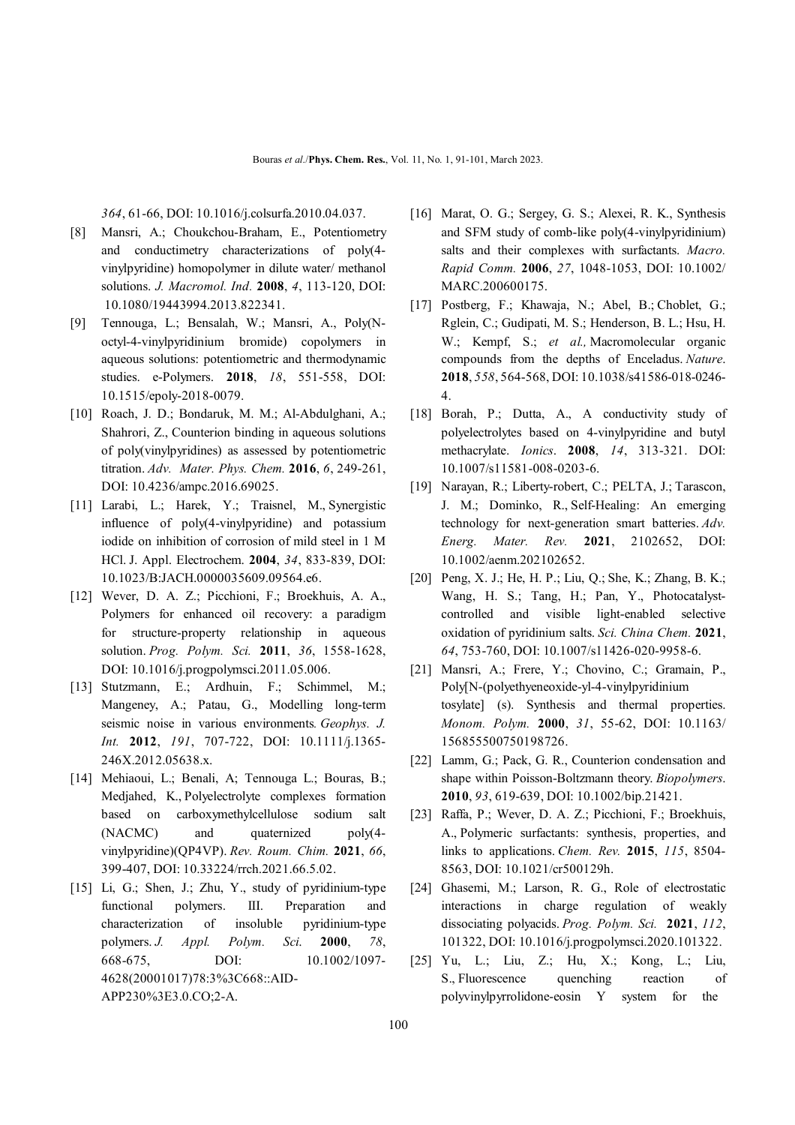*364*, 61-66, DOI: 10.1016/j.colsurfa.2010.04.037.

- [8] Mansri, A.; Choukchou-Braham, E., Potentiometry and conductimetry characterizations of poly(4 vinylpyridine) homopolymer in dilute water/ methanol solutions. *J. Macromol. Ind.* **2008**, *4*, 113-120, DOI: 10.1080/19443994.2013.822341.
- [9] Tennouga, L.; Bensalah, W.; Mansri, A., Poly(Noctyl-4-vinylpyridinium bromide) copolymers in aqueous solutions: potentiometric and thermodynamic studies. e-Polymers. **2018**, *18*, 551-558, DOI: 10.1515/epoly-2018-0079.
- [10] Roach, J. D.; Bondaruk, M. M.; Al-Abdulghani, A.; Shahrori, Z., Counterion binding in aqueous solutions of poly(vinylpyridines) as assessed by potentiometric titration. *Adv. Mater. Phys. Chem.* **2016**, *6*, 249-261, DOI: 10.4236/ampc.2016.69025.
- [11] Larabi, L.; Harek, Y.; Traisnel, M., Synergistic influence of poly(4-vinylpyridine) and potassium iodide on inhibition of corrosion of mild steel in 1 M HCl. J. Appl. Electrochem. **2004**, *34*, 833-839, DOI: 10.1023/B:JACH.0000035609.09564.e6.
- [12] Wever, D. A. Z.; Picchioni, F.; Broekhuis, A. A., Polymers for enhanced oil recovery: a paradigm for structure-property relationship in aqueous solution. *Prog. Polym. Sci.* **2011**, *36*, 1558-1628, DOI: 10.1016/j.progpolymsci.2011.05.006.
- [13] Stutzmann, E.; Ardhuin, F.; Schimmel, M.; Mangeney, A.; Patau, G., Modelling long-term seismic noise in various environments*. Geophys. J. Int.* **2012**, *191*, 707-722, DOI: 10.1111/j.1365- 246X.2012.05638.x.
- [14] Mehiaoui, L.; Benali, A; Tennouga L.; Bouras, B.; Medjahed, K., Polyelectrolyte complexes formation based on carboxymethylcellulose sodium salt (NACMC) and quaternized poly(4 vinylpyridine)(QP4VP). *Rev. Roum. Chim.* **2021**, *66*, 399-407, DOI: 10.33224/rrch.2021.66.5.02.
- [15] Li, G.; Shen, J.; Zhu, Y., study of pyridinium-type functional polymers. III. Preparation and characterization of insoluble pyridinium-type polymers. *J. Appl. Polym. Sci*. **2000**, *78*, 668-675, DOI: 10.1002/1097- 4628(20001017)78:3%3C668::AID-APP230%3E3.0.CO;2-A.
- [16] Marat, O. G.; Sergey, G. S.; Alexei, R. K., Synthesis and SFM study of comb-like poly(4-vinylpyridinium) salts and their complexes with surfactants. *Macro. Rapid Comm.* **2006**, *27*, 1048-1053, DOI: 10.1002/ MARC.200600175.
- [17] Postberg, F.; Khawaja, N.; Abel, B.; Choblet, G.; Rglein, C.; Gudipati, M. S.; Henderson, B. L.; Hsu, H. W.; Kempf, S.; *et al.,* Macromolecular organic compounds from the depths of Enceladus. *Nature*. **2018**, *558*, 564-568, DOI: 10.1038/s41586-018-0246- 4.
- [18] Borah, P.; Dutta, A., A conductivity study of polyelectrolytes based on 4-vinylpyridine and butyl methacrylate. *Ionics*. **2008**, *14*, 313-321. DOI: 10.1007/s11581-008-0203-6.
- [19] Narayan, R.; Liberty-robert, C.; PELTA, J.; Tarascon, J. M.; Dominko, R., Self-Healing: An emerging technology for next-generation smart batteries. *Adv. Energ. Mater. Rev.* **2021**, 2102652, DOI: 10.1002/aenm.202102652.
- [20] Peng, X. J.; He, H. P.; Liu, Q.; She, K.; Zhang, B. K.; Wang, H. S.; Tang, H.; Pan, Y., Photocatalystcontrolled and visible light-enabled selective oxidation of pyridinium salts. *Sci. China Chem.* **2021**, *64*, 753-760, DOI: 10.1007/s11426-020-9958-6.
- [21] Mansri, A.; Frere, Y.; Chovino, C.; Gramain, P., Poly[N-(polyethyeneoxide-yl-4-vinylpyridinium tosylate] (s). Synthesis and thermal properties. *Monom. Polym.* **2000**, *31*, 55-62, DOI: 10.1163/ 156855500750198726.
- [22] Lamm, G.; Pack, G. R., Counterion condensation and shape within Poisson-Boltzmann theory. *Biopolymers*. **2010**, *93*, 619-639, DOI: 10.1002/bip.21421.
- [23] Raffa, P.; Wever, D. A. Z.; Picchioni, F.; Broekhuis, A., Polymeric surfactants: synthesis, properties, and links to applications. *Chem. Rev.* **2015**, *115*, 8504- 8563, DOI: 10.1021/cr500129h.
- [24] Ghasemi, M.; Larson, R. G., Role of electrostatic interactions in charge regulation of weakly dissociating polyacids. *Prog. Polym. Sci.* **2021**, *112*, 101322, DOI: 10.1016/j.progpolymsci.2020.101322.
- [25] Yu, L.; Liu, Z.; Hu, X.; Kong, L.; Liu, S., Fluorescence quenching reaction of polyvinylpyrrolidone-eosin Y system for the